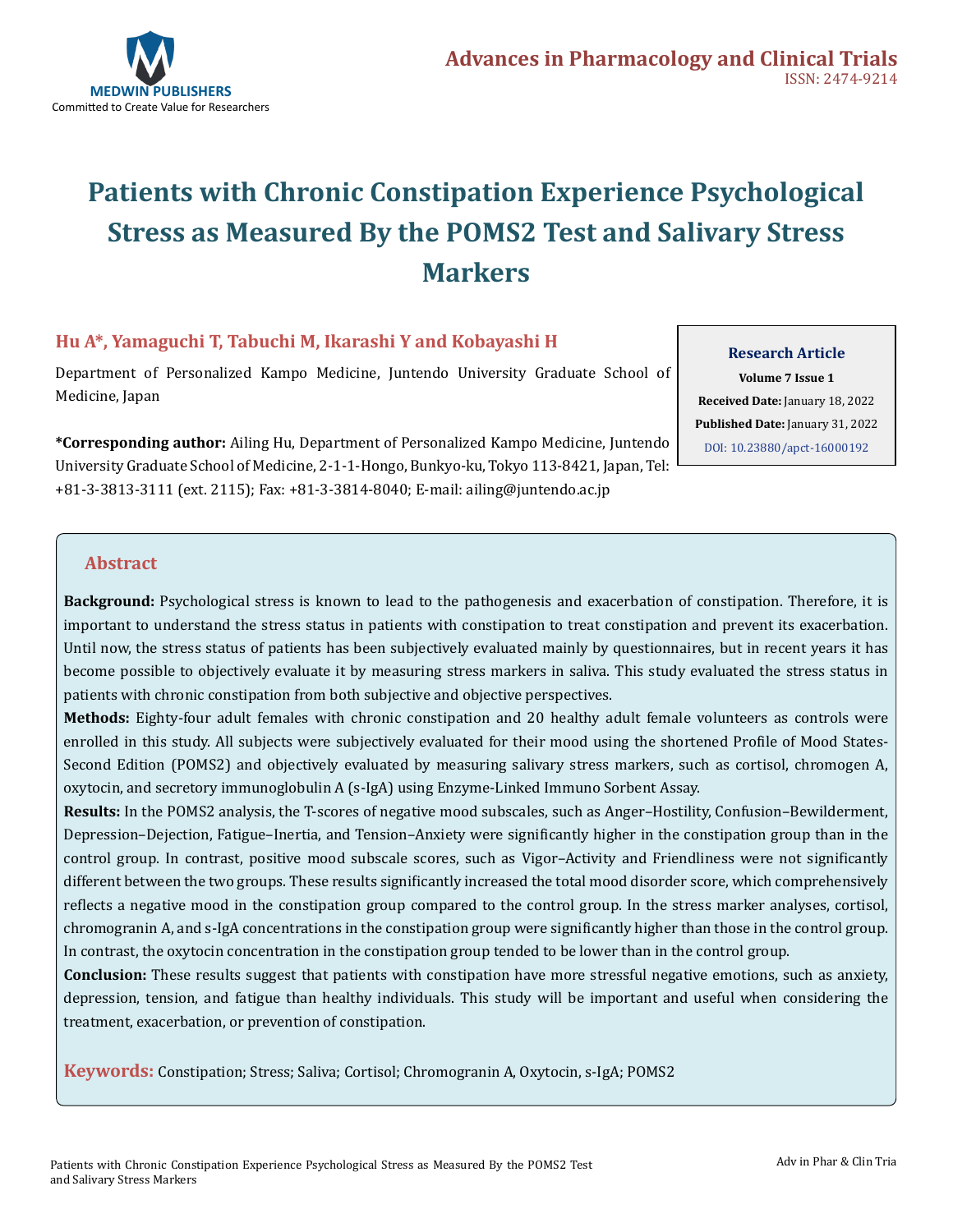

# **Patients with Chronic Constipation Experience Psychological Stress as Measured By the POMS2 Test and Salivary Stress Markers**

#### **Hu A\*, Yamaguchi T, Tabuchi M, Ikarashi Y and Kobayashi H**

Department of Personalized Kampo Medicine, Juntendo University Graduate School of Medicine, Japan

**\*Corresponding author:** Ailing Hu, Department of Personalized Kampo Medicine, Juntendo University Graduate School of Medicine, 2-1-1-Hongo, Bunkyo-ku, Tokyo 113-8421, Japan, Tel: +81-3-3813-3111 (ext. 2115); Fax: +81-3-3814-8040; E-mail: ailing@juntendo.ac.jp

**Research Article Volume 7 Issue 1 Received Date:** January 18, 2022 **Published Date:** January 31, 2022 [DOI: 10.23880/apct-16000192](https://doi.org/10.23880/apct-16000192)

#### **Abstract**

**Background:** Psychological stress is known to lead to the pathogenesis and exacerbation of constipation. Therefore, it is important to understand the stress status in patients with constipation to treat constipation and prevent its exacerbation. Until now, the stress status of patients has been subjectively evaluated mainly by questionnaires, but in recent years it has become possible to objectively evaluate it by measuring stress markers in saliva. This study evaluated the stress status in patients with chronic constipation from both subjective and objective perspectives.

**Methods:** Eighty-four adult females with chronic constipation and 20 healthy adult female volunteers as controls were enrolled in this study. All subjects were subjectively evaluated for their mood using the shortened Profile of Mood States-Second Edition (POMS2) and objectively evaluated by measuring salivary stress markers, such as cortisol, chromogen A, oxytocin, and secretory immunoglobulin A (s-IgA) using Enzyme-Linked Immuno Sorbent Assay.

**Results:** In the POMS2 analysis, the T-scores of negative mood subscales, such as Anger–Hostility, Confusion–Bewilderment, Depression–Dejection, Fatigue–Inertia, and Tension–Anxiety were significantly higher in the constipation group than in the control group. In contrast, positive mood subscale scores, such as Vigor–Activity and Friendliness were not significantly different between the two groups. These results significantly increased the total mood disorder score, which comprehensively reflects a negative mood in the constipation group compared to the control group. In the stress marker analyses, cortisol, chromogranin A, and s-IgA concentrations in the constipation group were significantly higher than those in the control group. In contrast, the oxytocin concentration in the constipation group tended to be lower than in the control group.

**Conclusion:** These results suggest that patients with constipation have more stressful negative emotions, such as anxiety, depression, tension, and fatigue than healthy individuals. This study will be important and useful when considering the treatment, exacerbation, or prevention of constipation.

**Keywords:** Constipation; Stress; Saliva; Cortisol; Chromogranin A, Oxytocin, s-IgA; POMS2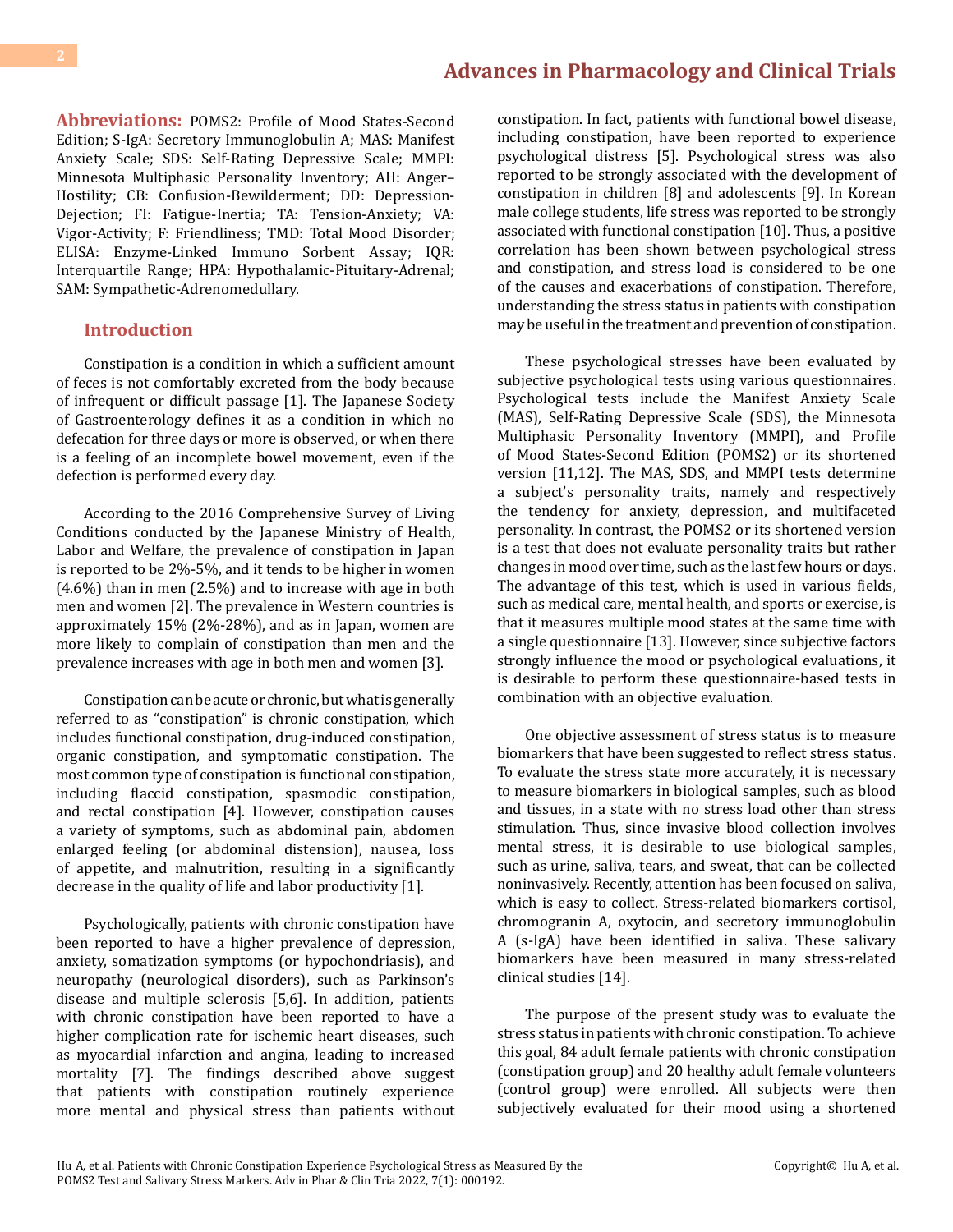**Abbreviations:** POMS2: Profile of Mood States-Second Edition; S-IgA: Secretory Immunoglobulin A; MAS: Manifest Anxiety Scale; SDS: Self-Rating Depressive Scale; MMPI: Minnesota Multiphasic Personality Inventory; AH: Anger– Hostility; CB: Confusion-Bewilderment; DD: Depression-Dejection; FI: Fatigue-Inertia; TA: Tension-Anxiety; VA: Vigor-Activity; F: Friendliness; TMD: Total Mood Disorder; ELISA: Enzyme-Linked Immuno Sorbent Assay; IQR: Interquartile Range; HPA: Hypothalamic-Pituitary-Adrenal; SAM: Sympathetic-Adrenomedullary.

#### **Introduction**

Constipation is a condition in which a sufficient amount of feces is not comfortably excreted from the body because of infrequent or difficult passage [1]. The Japanese Society of Gastroenterology defines it as a condition in which no defecation for three days or more is observed, or when there is a feeling of an incomplete bowel movement, even if the defection is performed every day.

According to the 2016 Comprehensive Survey of Living Conditions conducted by the Japanese Ministry of Health, Labor and Welfare, the prevalence of constipation in Japan is reported to be 2%-5%, and it tends to be higher in women (4.6%) than in men (2.5%) and to increase with age in both men and women [2]. The prevalence in Western countries is approximately 15% (2%-28%), and as in Japan, women are more likely to complain of constipation than men and the prevalence increases with age in both men and women [3].

Constipation can be acute or chronic, but what is generally referred to as "constipation" is chronic constipation, which includes functional constipation, drug-induced constipation, organic constipation, and symptomatic constipation. The most common type of constipation is functional constipation, including flaccid constipation, spasmodic constipation, and rectal constipation [4]. However, constipation causes a variety of symptoms, such as abdominal pain, abdomen enlarged feeling (or abdominal distension), nausea, loss of appetite, and malnutrition, resulting in a significantly decrease in the quality of life and labor productivity [1].

Psychologically, patients with chronic constipation have been reported to have a higher prevalence of depression, anxiety, somatization symptoms (or hypochondriasis), and neuropathy (neurological disorders), such as Parkinson's disease and multiple sclerosis [5,6]. In addition, patients with chronic constipation have been reported to have a higher complication rate for ischemic heart diseases, such as myocardial infarction and angina, leading to increased mortality [7]. The findings described above suggest that patients with constipation routinely experience more mental and physical stress than patients without

constipation. In fact, patients with functional bowel disease, including constipation, have been reported to experience psychological distress [5]. Psychological stress was also reported to be strongly associated with the development of constipation in children [8] and adolescents [9]. In Korean male college students, life stress was reported to be strongly associated with functional constipation [10]. Thus, a positive correlation has been shown between psychological stress and constipation, and stress load is considered to be one of the causes and exacerbations of constipation. Therefore, understanding the stress status in patients with constipation may be useful in the treatment and prevention of constipation.

These psychological stresses have been evaluated by subjective psychological tests using various questionnaires. Psychological tests include the Manifest Anxiety Scale (MAS), Self-Rating Depressive Scale (SDS), the Minnesota Multiphasic Personality Inventory (MMPI), and Profile of Mood States-Second Edition (POMS2) or its shortened version [11,12]. The MAS, SDS, and MMPI tests determine a subject's personality traits, namely and respectively the tendency for anxiety, depression, and multifaceted personality. In contrast, the POMS2 or its shortened version is a test that does not evaluate personality traits but rather changes in mood over time, such as the last few hours or days. The advantage of this test, which is used in various fields, such as medical care, mental health, and sports or exercise, is that it measures multiple mood states at the same time with a single questionnaire [13]. However, since subjective factors strongly influence the mood or psychological evaluations, it is desirable to perform these questionnaire-based tests in combination with an objective evaluation.

One objective assessment of stress status is to measure biomarkers that have been suggested to reflect stress status. To evaluate the stress state more accurately, it is necessary to measure biomarkers in biological samples, such as blood and tissues, in a state with no stress load other than stress stimulation. Thus, since invasive blood collection involves mental stress, it is desirable to use biological samples, such as urine, saliva, tears, and sweat, that can be collected noninvasively. Recently, attention has been focused on saliva, which is easy to collect. Stress-related biomarkers cortisol, chromogranin A, oxytocin, and secretory immunoglobulin A (s-IgA) have been identified in saliva. These salivary biomarkers have been measured in many stress-related clinical studies [14].

The purpose of the present study was to evaluate the stress status in patients with chronic constipation. To achieve this goal, 84 adult female patients with chronic constipation (constipation group) and 20 healthy adult female volunteers (control group) were enrolled. All subjects were then subjectively evaluated for their mood using a shortened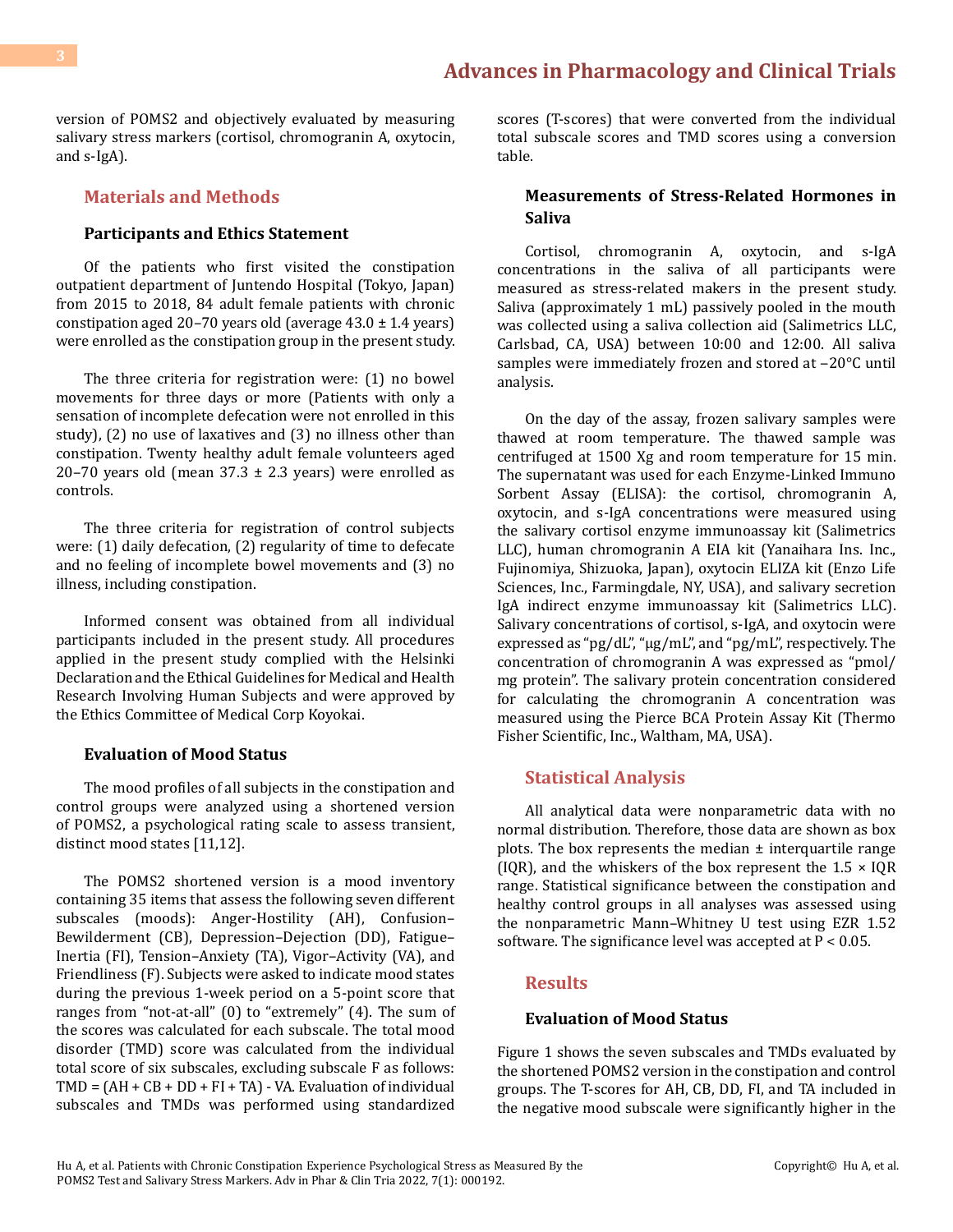version of POMS2 and objectively evaluated by measuring salivary stress markers (cortisol, chromogranin A, oxytocin, and s-IgA).

#### **Materials and Methods**

#### **Participants and Ethics Statement**

Of the patients who first visited the constipation outpatient department of Juntendo Hospital (Tokyo, Japan) from 2015 to 2018, 84 adult female patients with chronic constipation aged 20–70 years old (average 43.0 ± 1.4 years) were enrolled as the constipation group in the present study.

The three criteria for registration were: (1) no bowel movements for three days or more (Patients with only a sensation of incomplete defecation were not enrolled in this study), (2) no use of laxatives and (3) no illness other than constipation. Twenty healthy adult female volunteers aged 20–70 years old (mean  $37.3 \pm 2.3$  years) were enrolled as controls.

The three criteria for registration of control subjects were: (1) daily defecation, (2) regularity of time to defecate and no feeling of incomplete bowel movements and (3) no illness, including constipation.

Informed consent was obtained from all individual participants included in the present study. All procedures applied in the present study complied with the Helsinki Declaration and the Ethical Guidelines for Medical and Health Research Involving Human Subjects and were approved by the Ethics Committee of Medical Corp Koyokai.

#### **Evaluation of Mood Status**

The mood profiles of all subjects in the constipation and control groups were analyzed using a shortened version of POMS2, a psychological rating scale to assess transient, distinct mood states [11,12].

The POMS2 shortened version is a mood inventory containing 35 items that assess the following seven different subscales (moods): Anger-Hostility (AH), Confusion– Bewilderment (CB), Depression–Dejection (DD), Fatigue– Inertia (FI), Tension–Anxiety (TA), Vigor–Activity (VA), and Friendliness (F). Subjects were asked to indicate mood states during the previous 1-week period on a 5-point score that ranges from "not-at-all" (0) to "extremely" (4). The sum of the scores was calculated for each subscale. The total mood disorder (TMD) score was calculated from the individual total score of six subscales, excluding subscale F as follows: TMD = (AH + CB + DD + FI + TA) - VA. Evaluation of individual subscales and TMDs was performed using standardized

scores (T-scores) that were converted from the individual total subscale scores and TMD scores using a conversion table.

#### **Measurements of Stress-Related Hormones in Saliva**

Cortisol, chromogranin A, oxytocin, and s-IgA concentrations in the saliva of all participants were measured as stress-related makers in the present study. Saliva (approximately 1 mL) passively pooled in the mouth was collected using a saliva collection aid (Salimetrics LLC, Carlsbad, CA, USA) between 10:00 and 12:00. All saliva samples were immediately frozen and stored at  $-20^{\circ}$ C until analysis.

On the day of the assay, frozen salivary samples were thawed at room temperature. The thawed sample was centrifuged at 1500 Xg and room temperature for 15 min. The supernatant was used for each Enzyme-Linked Immuno Sorbent Assay (ELISA): the cortisol, chromogranin A, oxytocin, and s-IgA concentrations were measured using the salivary cortisol enzyme immunoassay kit (Salimetrics LLC), human chromogranin A EIA kit (Yanaihara Ins. Inc., Fujinomiya, Shizuoka, Japan), oxytocin ELIZA kit (Enzo Life Sciences, Inc., Farmingdale, NY, USA), and salivary secretion IgA indirect enzyme immunoassay kit (Salimetrics LLC). Salivary concentrations of cortisol, s-IgA, and oxytocin were expressed as "pg/dL", "µg/mL", and "pg/mL", respectively. The concentration of chromogranin A was expressed as "pmol/ mg protein". The salivary protein concentration considered for calculating the chromogranin A concentration was measured using the Pierce BCA Protein Assay Kit (Thermo Fisher Scientific, Inc., Waltham, MA, USA).

#### **Statistical Analysis**

All analytical data were nonparametric data with no normal distribution. Therefore, those data are shown as box plots. The box represents the median  $\pm$  interquartile range (IQR), and the whiskers of the box represent the  $1.5 \times IQR$ range. Statistical significance between the constipation and healthy control groups in all analyses was assessed using the nonparametric Mann–Whitney U test using EZR 1.52 software. The significance level was accepted at P < 0.05.

#### **Results**

#### **Evaluation of Mood Status**

Figure 1 shows the seven subscales and TMDs evaluated by the shortened POMS2 version in the constipation and control groups. The T-scores for AH, CB, DD, FI, and TA included in the negative mood subscale were significantly higher in the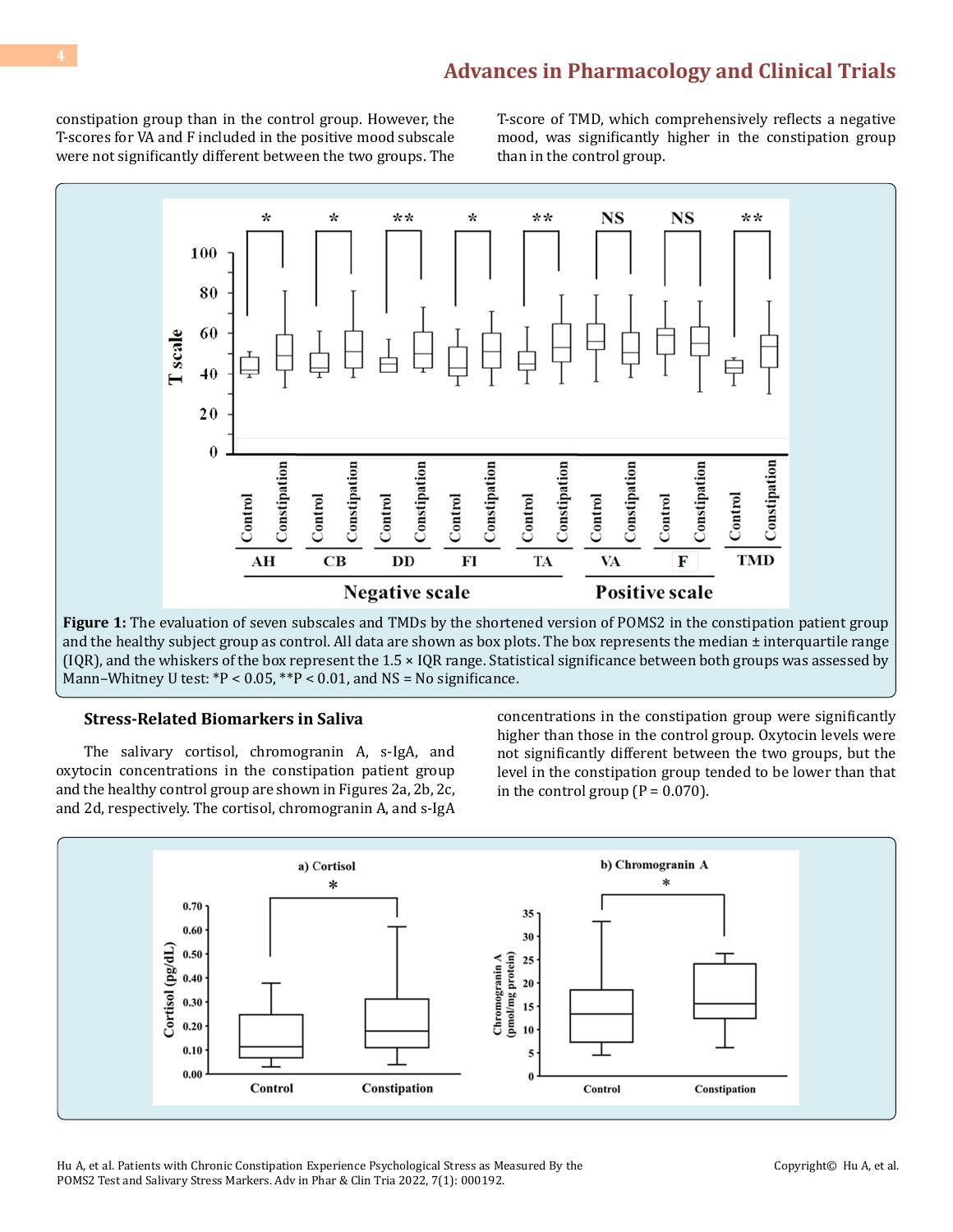constipation group than in the control group. However, the T-scores for VA and F included in the positive mood subscale were not significantly different between the two groups. The T-score of TMD, which comprehensively reflects a negative mood, was significantly higher in the constipation group than in the control group.



**Figure 1:** The evaluation of seven subscales and TMDs by the shortened version of POMS2 in the constipation patient group and the healthy subject group as control. All data are shown as box plots. The box represents the median  $\pm$  interquartile range (IQR), and the whiskers of the box represent the 1.5 × IQR range. Statistical significance between both groups was assessed by Mann–Whitney U test:  $*P < 0.05$ ,  $*P < 0.01$ , and NS = No significance.

#### **Stress-Related Biomarkers in Saliva**

The salivary cortisol, chromogranin A, s-IgA, and oxytocin concentrations in the constipation patient group and the healthy control group are shown in Figures 2a, 2b, 2c, and 2d, respectively. The cortisol, chromogranin A, and s-IgA

concentrations in the constipation group were significantly higher than those in the control group. Oxytocin levels were not significantly different between the two groups, but the level in the constipation group tended to be lower than that in the control group  $(P = 0.070)$ .



Hu A, et al. Patients with Chronic Constipation Experience Psychological Stress as Measured By the POMS2 Test and Salivary Stress Markers. Adv in Phar & Clin Tria 2022, 7(1): 000192.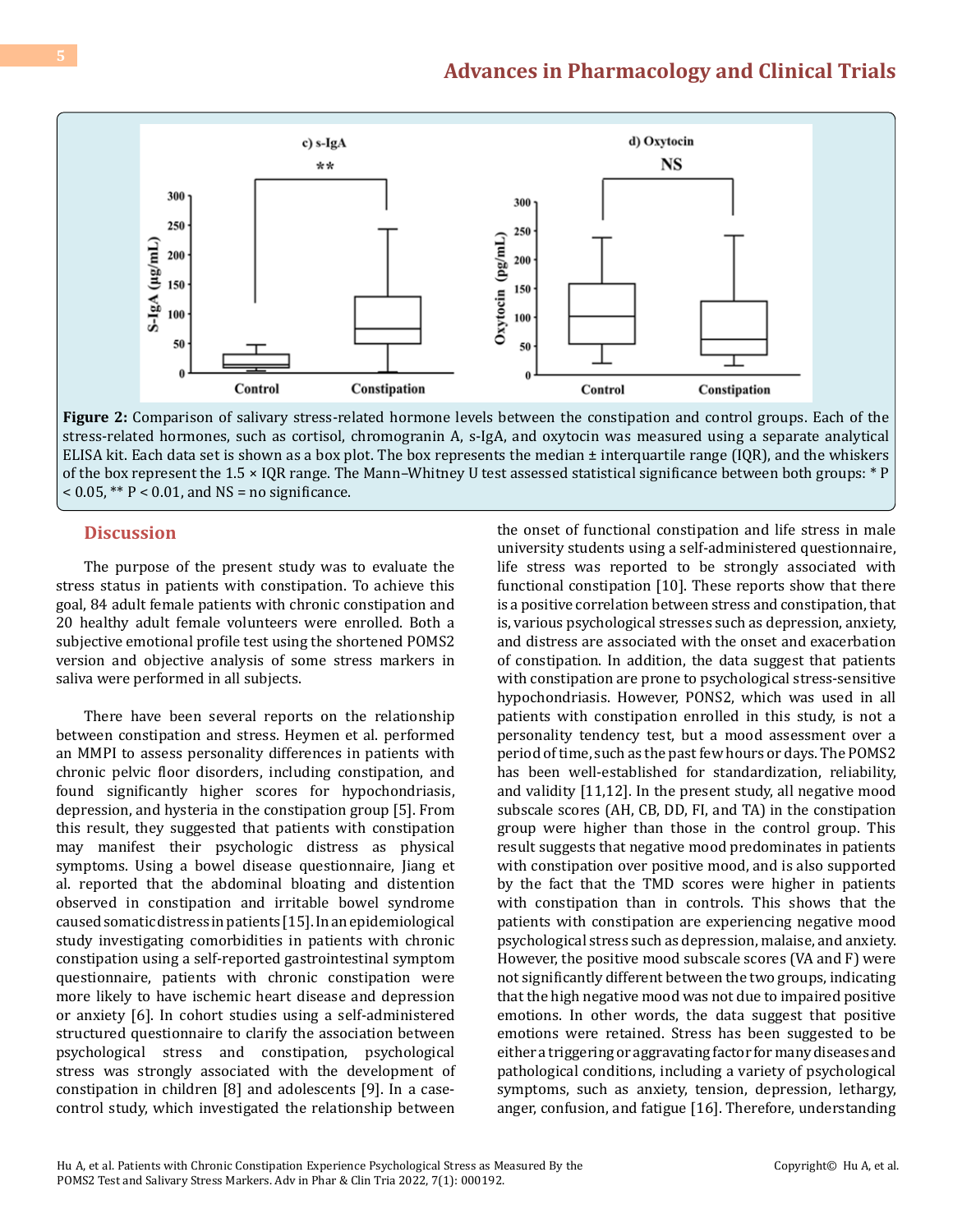

**Figure 2:** Comparison of salivary stress-related hormone levels between the constipation and control groups. Each of the stress-related hormones, such as cortisol, chromogranin A, s-IgA, and oxytocin was measured using a separate analytical ELISA kit. Each data set is shown as a box plot. The box represents the median  $\pm$  interquartile range (IQR), and the whiskers of the box represent the 1.5 × IQR range. The Mann–Whitney U test assessed statistical significance between both groups: \* P  $< 0.05$ , \*\* P  $< 0.01$ , and NS = no significance.

#### **Discussion**

The purpose of the present study was to evaluate the stress status in patients with constipation. To achieve this goal, 84 adult female patients with chronic constipation and 20 healthy adult female volunteers were enrolled. Both a subjective emotional profile test using the shortened POMS2 version and objective analysis of some stress markers in saliva were performed in all subjects.

There have been several reports on the relationship between constipation and stress. Heymen et al. performed an MMPI to assess personality differences in patients with chronic pelvic floor disorders, including constipation, and found significantly higher scores for hypochondriasis, depression, and hysteria in the constipation group [5]. From this result, they suggested that patients with constipation may manifest their psychologic distress as physical symptoms. Using a bowel disease questionnaire, Jiang et al. reported that the abdominal bloating and distention observed in constipation and irritable bowel syndrome caused somatic distress in patients [15]. In an epidemiological study investigating comorbidities in patients with chronic constipation using a self-reported gastrointestinal symptom questionnaire, patients with chronic constipation were more likely to have ischemic heart disease and depression or anxiety [6]. In cohort studies using a self-administered structured questionnaire to clarify the association between psychological stress and constipation, psychological stress was strongly associated with the development of constipation in children [8] and adolescents [9]. In a casecontrol study, which investigated the relationship between

the onset of functional constipation and life stress in male university students using a self-administered questionnaire, life stress was reported to be strongly associated with functional constipation [10]. These reports show that there is a positive correlation between stress and constipation, that is, various psychological stresses such as depression, anxiety, and distress are associated with the onset and exacerbation of constipation. In addition, the data suggest that patients with constipation are prone to psychological stress-sensitive hypochondriasis. However, PONS2, which was used in all patients with constipation enrolled in this study, is not a personality tendency test, but a mood assessment over a period of time, such as the past few hours or days. The POMS2 has been well-established for standardization, reliability, and validity [11,12]. In the present study, all negative mood subscale scores (AH, CB, DD, FI, and TA) in the constipation group were higher than those in the control group. This result suggests that negative mood predominates in patients with constipation over positive mood, and is also supported by the fact that the TMD scores were higher in patients with constipation than in controls. This shows that the patients with constipation are experiencing negative mood psychological stress such as depression, malaise, and anxiety. However, the positive mood subscale scores (VA and F) were not significantly different between the two groups, indicating that the high negative mood was not due to impaired positive emotions. In other words, the data suggest that positive emotions were retained. Stress has been suggested to be either a triggering or aggravating factor for many diseases and pathological conditions, including a variety of psychological symptoms, such as anxiety, tension, depression, lethargy, anger, confusion, and fatigue [16]. Therefore, understanding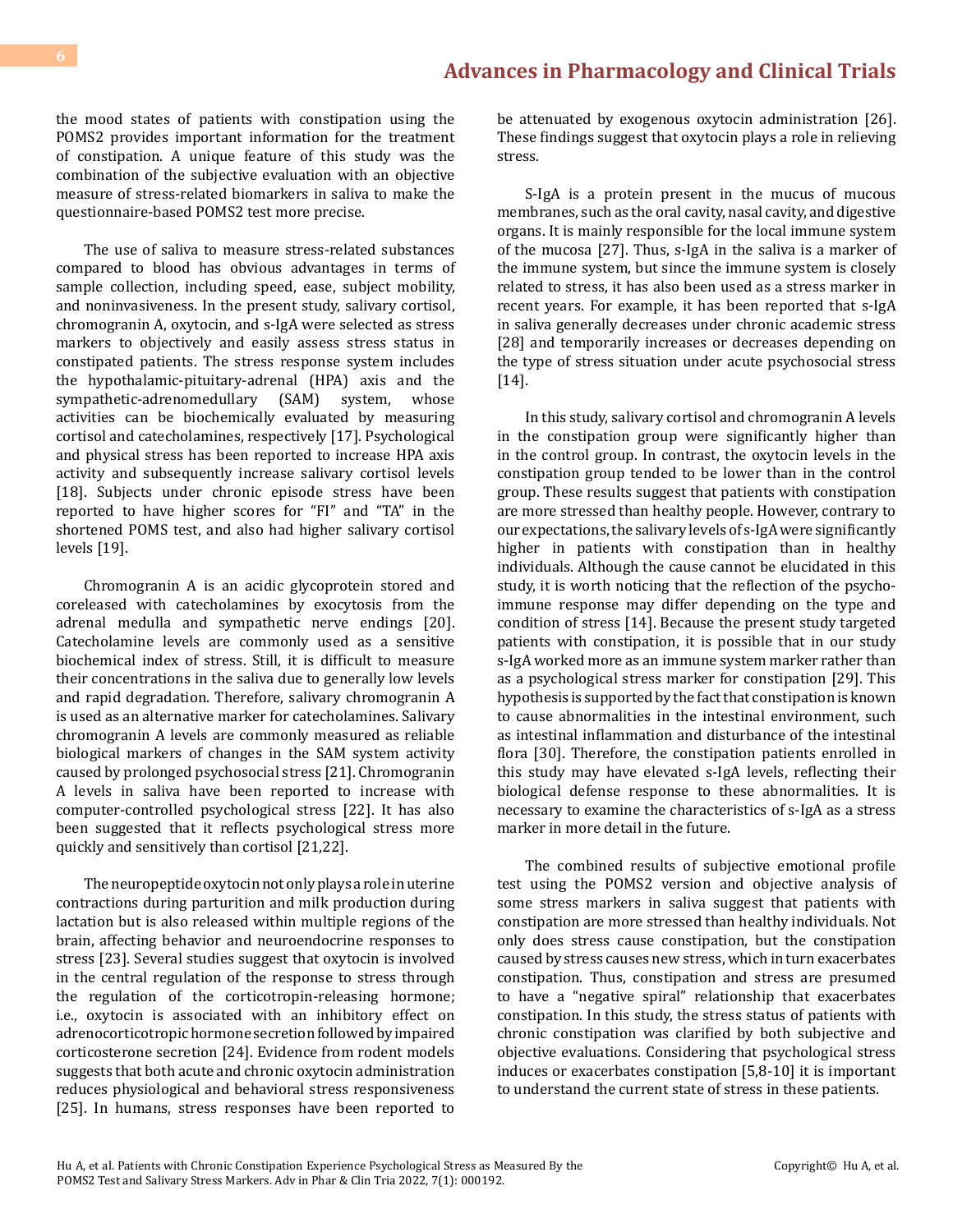the mood states of patients with constipation using the POMS2 provides important information for the treatment of constipation. A unique feature of this study was the combination of the subjective evaluation with an objective measure of stress-related biomarkers in saliva to make the questionnaire-based POMS2 test more precise.

The use of saliva to measure stress-related substances compared to blood has obvious advantages in terms of sample collection, including speed, ease, subject mobility, and noninvasiveness. In the present study, salivary cortisol, chromogranin A, oxytocin, and s-IgA were selected as stress markers to objectively and easily assess stress status in constipated patients. The stress response system includes the hypothalamic-pituitary-adrenal (HPA) axis and the sympathetic-adrenomedullary (SAM) activities can be biochemically evaluated by measuring cortisol and catecholamines, respectively [17]. Psychological and physical stress has been reported to increase HPA axis activity and subsequently increase salivary cortisol levels [18]. Subjects under chronic episode stress have been reported to have higher scores for "FI" and "TA" in the shortened POMS test, and also had higher salivary cortisol levels [19].

Chromogranin A is an acidic glycoprotein stored and coreleased with catecholamines by exocytosis from the adrenal medulla and sympathetic nerve endings [20]. Catecholamine levels are commonly used as a sensitive biochemical index of stress. Still, it is difficult to measure their concentrations in the saliva due to generally low levels and rapid degradation. Therefore, salivary chromogranin A is used as an alternative marker for catecholamines. Salivary chromogranin A levels are commonly measured as reliable biological markers of changes in the SAM system activity caused by prolonged psychosocial stress [21]. Chromogranin A levels in saliva have been reported to increase with computer-controlled psychological stress [22]. It has also been suggested that it reflects psychological stress more quickly and sensitively than cortisol [21,22].

The neuropeptide oxytocin not only plays a role in uterine contractions during parturition and milk production during lactation but is also released within multiple regions of the brain, affecting behavior and neuroendocrine responses to stress [23]. Several studies suggest that oxytocin is involved in the central regulation of the response to stress through the regulation of the corticotropin-releasing hormone; i.e., oxytocin is associated with an inhibitory effect on adrenocorticotropic hormone secretion followed by impaired corticosterone secretion [24]. Evidence from rodent models suggests that both acute and chronic oxytocin administration reduces physiological and behavioral stress responsiveness [25]. In humans, stress responses have been reported to

be attenuated by exogenous oxytocin administration [26]. These findings suggest that oxytocin plays a role in relieving stress.

S-IgA is a protein present in the mucus of mucous membranes, such as the oral cavity, nasal cavity, and digestive organs. It is mainly responsible for the local immune system of the mucosa [27]. Thus, s-IgA in the saliva is a marker of the immune system, but since the immune system is closely related to stress, it has also been used as a stress marker in recent years. For example, it has been reported that s-IgA in saliva generally decreases under chronic academic stress [28] and temporarily increases or decreases depending on the type of stress situation under acute psychosocial stress [14].

In this study, salivary cortisol and chromogranin A levels in the constipation group were significantly higher than in the control group. In contrast, the oxytocin levels in the constipation group tended to be lower than in the control group. These results suggest that patients with constipation are more stressed than healthy people. However, contrary to our expectations, the salivary levels of s-IgA were significantly higher in patients with constipation than in healthy individuals. Although the cause cannot be elucidated in this study, it is worth noticing that the reflection of the psychoimmune response may differ depending on the type and condition of stress [14]. Because the present study targeted patients with constipation, it is possible that in our study s-IgA worked more as an immune system marker rather than as a psychological stress marker for constipation [29]. This hypothesis is supported by the fact that constipation is known to cause abnormalities in the intestinal environment, such as intestinal inflammation and disturbance of the intestinal flora [30]. Therefore, the constipation patients enrolled in this study may have elevated s-IgA levels, reflecting their biological defense response to these abnormalities. It is necessary to examine the characteristics of s-IgA as a stress marker in more detail in the future.

The combined results of subjective emotional profile test using the POMS2 version and objective analysis of some stress markers in saliva suggest that patients with constipation are more stressed than healthy individuals. Not only does stress cause constipation, but the constipation caused by stress causes new stress, which in turn exacerbates constipation. Thus, constipation and stress are presumed to have a "negative spiral" relationship that exacerbates constipation. In this study, the stress status of patients with chronic constipation was clarified by both subjective and objective evaluations. Considering that psychological stress induces or exacerbates constipation [5,8-10] it is important to understand the current state of stress in these patients.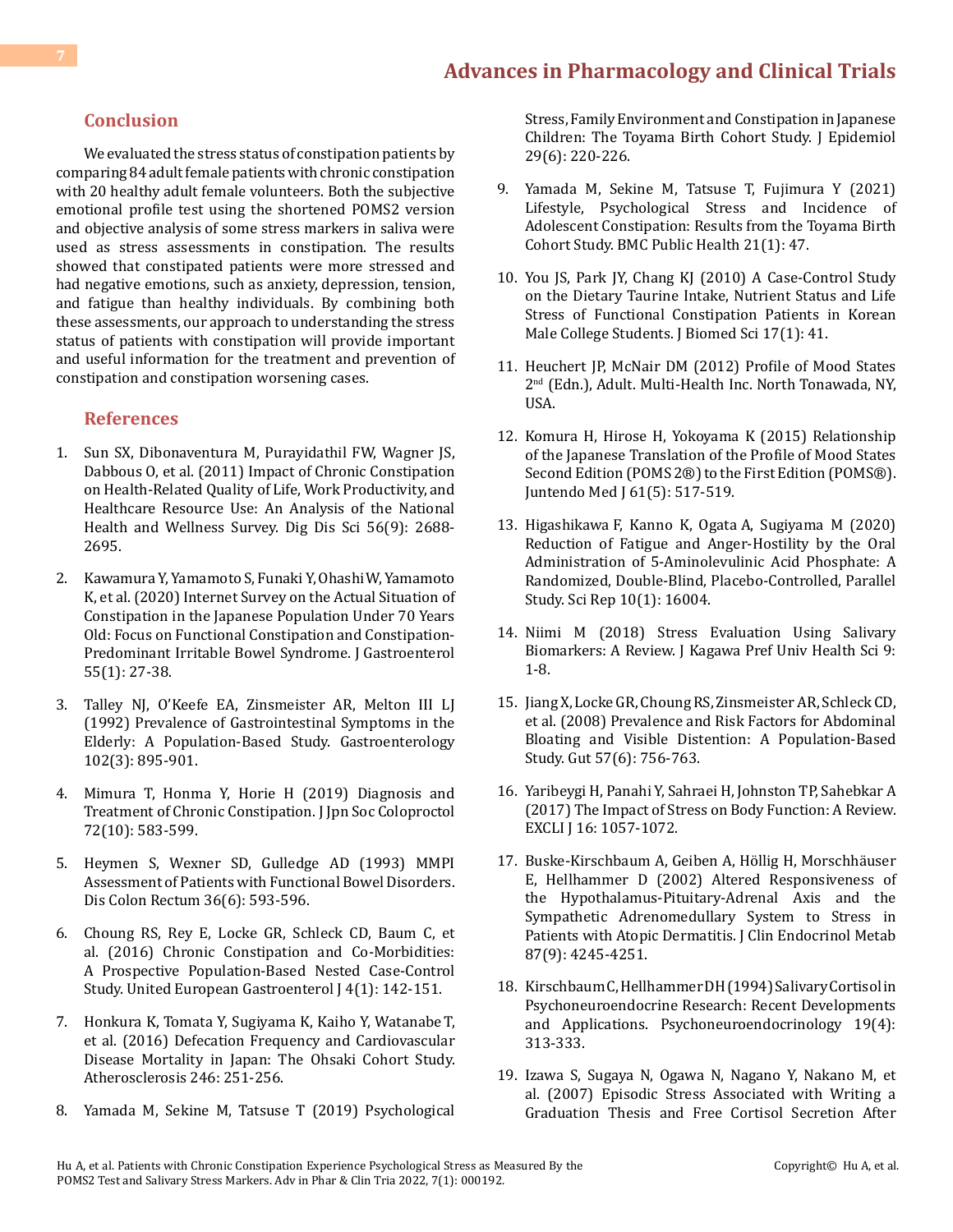#### **Conclusion**

We evaluated the stress status of constipation patients by comparing 84 adult female patients with chronic constipation with 20 healthy adult female volunteers. Both the subjective emotional profile test using the shortened POMS2 version and objective analysis of some stress markers in saliva were used as stress assessments in constipation. The results showed that constipated patients were more stressed and had negative emotions, such as anxiety, depression, tension, and fatigue than healthy individuals. By combining both these assessments, our approach to understanding the stress status of patients with constipation will provide important and useful information for the treatment and prevention of constipation and constipation worsening cases.

#### **References**

- 1. [Sun SX, Dibonaventura M, Purayidathil FW, Wagner JS,](https://pubmed.ncbi.nlm.nih.gov/21380761/) [Dabbous O, et al. \(2011\) Impact of Chronic Constipation](https://pubmed.ncbi.nlm.nih.gov/21380761/) [on Health-Related Quality of Life, Work Productivity, and](https://pubmed.ncbi.nlm.nih.gov/21380761/) [Healthcare Resource Use: An Analysis of the National](https://pubmed.ncbi.nlm.nih.gov/21380761/) [Health and Wellness Survey. Dig Dis Sci 56\(9\): 2688-](https://pubmed.ncbi.nlm.nih.gov/21380761/) [2695.](https://pubmed.ncbi.nlm.nih.gov/21380761/)
- 2. [Kawamura Y, Yamamoto S, Funaki Y, OhashiW, Yamamoto](https://pubmed.ncbi.nlm.nih.gov/31428873/) [K, et al. \(2020\) Internet Survey on the Actual Situation of](https://pubmed.ncbi.nlm.nih.gov/31428873/) [Constipation in the Japanese Population Under 70 Years](https://pubmed.ncbi.nlm.nih.gov/31428873/) [Old: Focus on Functional Constipation and Constipation-](https://pubmed.ncbi.nlm.nih.gov/31428873/)[Predominant Irritable Bowel Syndrome. J Gastroenterol](https://pubmed.ncbi.nlm.nih.gov/31428873/) [55\(1\): 27-38.](https://pubmed.ncbi.nlm.nih.gov/31428873/)
- 3. [Talley NJ, O'Keefe EA, Zinsmeister AR, Melton III LJ](https://pubmed.ncbi.nlm.nih.gov/1537525/) [\(1992\) Prevalence of Gastrointestinal Symptoms in the](https://pubmed.ncbi.nlm.nih.gov/1537525/) [Elderly: A Population-Based Study. Gastroenterology](https://pubmed.ncbi.nlm.nih.gov/1537525/) [102\(3\): 895-901.](https://pubmed.ncbi.nlm.nih.gov/1537525/)
- 4. Mimura T, Honma Y, Horie H (2019) Diagnosis and Treatment of Chronic Constipation. J Jpn Soc Coloproctol 72(10): 583-599.
- 5. [Heymen S, Wexner SD, Gulledge AD \(1993\) MMPI](https://pubmed.ncbi.nlm.nih.gov/8500378/) [Assessment of Patients with Functional Bowel Disorders.](https://pubmed.ncbi.nlm.nih.gov/8500378/) [Dis Colon Rectum 36\(6\): 593-596.](https://pubmed.ncbi.nlm.nih.gov/8500378/)
- 6. [Choung RS, Rey E, Locke GR, Schleck CD, Baum C, et](https://pubmed.ncbi.nlm.nih.gov/26966534/) [al. \(2016\) Chronic Constipation and Co-Morbidities:](https://pubmed.ncbi.nlm.nih.gov/26966534/) [A Prospective Population-Based Nested Case-Control](https://pubmed.ncbi.nlm.nih.gov/26966534/) [Study. United European Gastroenterol J 4\(1\): 142-151.](https://pubmed.ncbi.nlm.nih.gov/26966534/)
- 7. [Honkura K, Tomata Y, Sugiyama K, Kaiho Y, Watanabe](https://pubmed.ncbi.nlm.nih.gov/26812003/) T, [et al. \(2016\) Defecation Frequency and Cardiovascular](https://pubmed.ncbi.nlm.nih.gov/26812003/) [Disease Mortality in Japan: The Ohsaki Cohort Study.](https://pubmed.ncbi.nlm.nih.gov/26812003/) [Atherosclerosis 246: 251-256.](https://pubmed.ncbi.nlm.nih.gov/26812003/)
- 8. [Yamada M, Sekine M, Tatsuse T \(2019\) Psychological](https://pubmed.ncbi.nlm.nih.gov/30146529/)

[Stress, Family Environment and Constipation in Japanese](https://pubmed.ncbi.nlm.nih.gov/30146529/) [Children: The Toyama Birth Cohort Study. J Epidemiol](https://pubmed.ncbi.nlm.nih.gov/30146529/) [29\(6\): 220-226.](https://pubmed.ncbi.nlm.nih.gov/30146529/)

- 9. [Yamada M, Sekine M, Tatsuse T, Fujimura Y \(2021\)](https://www.readcube.com/articles/10.1186%2Fs12889-020-10044-5)  [Lifestyle, Psychological Stress and Incidence of](https://www.readcube.com/articles/10.1186%2Fs12889-020-10044-5) [Adolescent Constipation: Results from the Toyama Birth](https://www.readcube.com/articles/10.1186%2Fs12889-020-10044-5)  [Cohort Study. BMC Public Health 21\(1\): 47.](https://www.readcube.com/articles/10.1186%2Fs12889-020-10044-5)
- 10. [You JS, Park JY, Chang KJ \(2010\) A Case-Control Study](https://pubmed.ncbi.nlm.nih.gov/20804618/)  [on the Dietary Taurine Intake, Nutrient Status and Life](https://pubmed.ncbi.nlm.nih.gov/20804618/) [Stress of Functional Constipation Patients in Korean](https://pubmed.ncbi.nlm.nih.gov/20804618/) [Male College Students. J Biomed Sci 17\(1\): 41.](https://pubmed.ncbi.nlm.nih.gov/20804618/)
- 11. Heuchert JP, McNair DM (2012) Profile of Mood States 2nd (Edn.), Adult. Multi-Health Inc. North Tonawada, NY, USA.
- 12. [Komura H, Hirose H, Yokoyama K \(2015\) Relationship](https://www.jstage.jst.go.jp/article/jmj/61/5/61_517/_article) [of the Japanese Translation of the Profile of Mood States](https://www.jstage.jst.go.jp/article/jmj/61/5/61_517/_article) [Second Edition \(POMS 2®\) to the First Edition \(POMS®\).](https://www.jstage.jst.go.jp/article/jmj/61/5/61_517/_article) [Juntendo Med J 61\(5\): 517-519.](https://www.jstage.jst.go.jp/article/jmj/61/5/61_517/_article)
- 13. Higashikawa F, Kanno K, Ogata [A, Sugiyama M \(2020\)](https://www.nature.com/articles/s41598-020-72763-4) [Reduction of Fatigue and Anger-Hostility by the Oral](https://www.nature.com/articles/s41598-020-72763-4) [Administration of 5-Aminolevulinic Acid Phosphate: A](https://www.nature.com/articles/s41598-020-72763-4) [Randomized, Double-Blind, Placebo-Controlled, Parallel](https://www.nature.com/articles/s41598-020-72763-4)  [Study. Sci Rep 10\(1\): 16004.](https://www.nature.com/articles/s41598-020-72763-4)
- 14. Niimi M (2018) Stress Evaluation Using Salivary Biomarkers: A Review. J Kagawa Pref Univ Health Sci 9: 1-8.
- 15. [Jiang X, Locke GR, Choung RS, Zinsmeister AR, Schleck CD,](https://www.ncbi.nlm.nih.gov/labs/pmc/articles/PMC2581929/) [et al. \(2008\) Prevalence and Risk Factors for Abdominal](https://www.ncbi.nlm.nih.gov/labs/pmc/articles/PMC2581929/)  [Bloating and Visible Distention: A Population-Based](https://www.ncbi.nlm.nih.gov/labs/pmc/articles/PMC2581929/)  [Study. Gut 57\(6\): 756-763.](https://www.ncbi.nlm.nih.gov/labs/pmc/articles/PMC2581929/)
- 16. [Yaribeygi H, Panahi Y, Sahraei H, Johnston TP, Sahebkar A](https://www.ncbi.nlm.nih.gov/labs/pmc/articles/PMC5579396/)  [\(2017\) The Impact of Stress on Body Function: A Review.](https://www.ncbi.nlm.nih.gov/labs/pmc/articles/PMC5579396/) [EXCLI J 16: 1057-1072.](https://www.ncbi.nlm.nih.gov/labs/pmc/articles/PMC5579396/)
- 17. [Buske-Kirschbaum A, Geiben A, Höllig H, Morschhäuser](https://pubmed.ncbi.nlm.nih.gov/12213879/) [E, Hellhammer D \(2002\) Altered Responsiveness of](https://pubmed.ncbi.nlm.nih.gov/12213879/) [the Hypothalamus-Pituitary-Adrenal Axis and the](https://pubmed.ncbi.nlm.nih.gov/12213879/)  [Sympathetic Adrenomedullary System to Stress in](https://pubmed.ncbi.nlm.nih.gov/12213879/)  [Patients with Atopic Dermatitis. J Clin Endocrinol Metab](https://pubmed.ncbi.nlm.nih.gov/12213879/) [87\(9\): 4245-4251.](https://pubmed.ncbi.nlm.nih.gov/12213879/)
- 18. [Kirschbaum C, Hellhammer DH \(1994\) Salivary Cortisol in](https://pubmed.ncbi.nlm.nih.gov/8047637/) [Psychoneuroendocrine Research: Recent Developments](https://pubmed.ncbi.nlm.nih.gov/8047637/) [and Applications. Psychoneuroendocrinology 19\(4\):](https://pubmed.ncbi.nlm.nih.gov/8047637/) [313-333.](https://pubmed.ncbi.nlm.nih.gov/8047637/)
- 19. [Izawa S, Sugaya N, Ogawa N, Nagano Y, Nakano M, et](https://pubmed.ncbi.nlm.nih.gov/17316855/)  [al. \(2007\) Episodic Stress Associated with Writing a](https://pubmed.ncbi.nlm.nih.gov/17316855/) [Graduation Thesis and Free Cortisol Secretion After](https://pubmed.ncbi.nlm.nih.gov/17316855/)